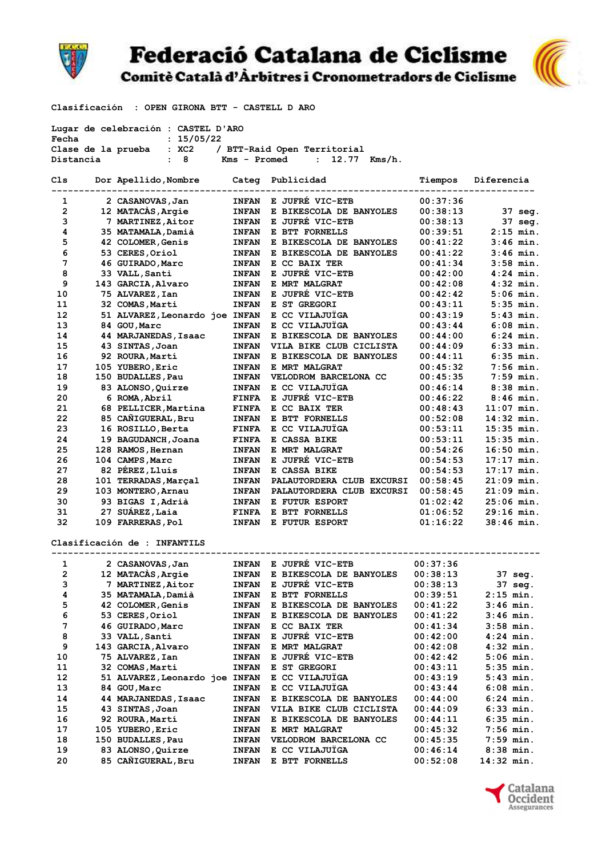

## **Federació Catalana de Ciclisme** Comitè Català d'Àrbitres i Cronometradors de Ciclisme



Clasificación : OPEN GIRONA BTT - CASTELL D ARO

| Lugar de celebración : CASTEL D'ARO<br>Fecha<br>: 15/05/22 |  |                                |              |                                |          |              |  |  |
|------------------------------------------------------------|--|--------------------------------|--------------|--------------------------------|----------|--------------|--|--|
|                                                            |  | Clase de la prueba : XC2       |              | / BTT-Raid Open Territorial    |          |              |  |  |
|                                                            |  | : 8                            |              | $12.77$ Kms/h.<br>$\mathbf{r}$ |          |              |  |  |
| Distancia<br>Kms - Promed                                  |  |                                |              |                                |          |              |  |  |
| Cls                                                        |  | Dor Apellido, Nombre           |              | Categ Publicidad               | Tiempos  | Diferencia   |  |  |
| 1                                                          |  | 2 CASANOVAS, Jan               | <b>INFAN</b> | E JUFRÉ VIC-ETB                | 00:37:36 |              |  |  |
| $\mathbf{2}$                                               |  | 12 MATACAS, Argie              | <b>INFAN</b> | E BIKESCOLA DE BANYOLES        | 00:38:13 | 37 seg.      |  |  |
| 3                                                          |  | 7 MARTINEZ, Aitor              | <b>INFAN</b> | E JUFRE VIC-ETB                | 00:38:13 | 37 seg.      |  |  |
| 4                                                          |  | 35 MATAMALA, Damià             | <b>INFAN</b> | E BTT FORNELLS                 | 00:39:51 | $2:15$ min.  |  |  |
| 5                                                          |  | 42 COLOMER, Genis              | <b>INFAN</b> | E BIKESCOLA DE BANYOLES        | 00:41:22 | $3:46$ min.  |  |  |
| 6                                                          |  | 53 CERES, Oriol                | <b>INFAN</b> | E BIKESCOLA DE BANYOLES        | 00:41:22 | $3:46$ min.  |  |  |
| 7                                                          |  | 46 GUIRADO, Marc               | <b>INFAN</b> | E CC BAIX TER                  | 00:41:34 | $3:58$ min.  |  |  |
| 8                                                          |  | 33 VALL, Santi                 | <b>INFAN</b> | E JUFRE VIC-ETB                | 00:42:00 | $4:24$ min.  |  |  |
| 9                                                          |  | 143 GARCIA, Alvaro             | <b>INFAN</b> | E MRT MALGRAT                  | 00:42:08 | $4:32$ min.  |  |  |
| 10                                                         |  | 75 ALVAREZ, Ian                | <b>INFAN</b> | E JUFRÉ VIC-ETB                | 00:42:42 | $5:06$ min.  |  |  |
| 11                                                         |  | 32 COMAS, Marti                | <b>INFAN</b> | E ST GREGORI                   | 00:43:11 | $5:35$ min.  |  |  |
| 12                                                         |  | 51 ALVAREZ, Leonardo joe INFAN |              | E CC VILAJUÏGA                 | 00:43:19 | $5:43$ min.  |  |  |
| 13                                                         |  | 84 GOU, Marc                   | <b>INFAN</b> | E CC VILAJUÏGA                 | 00:43:44 | $6:08$ min.  |  |  |
| 14                                                         |  | 44 MARJANEDAS, Isaac           |              | E BIKESCOLA DE BANYOLES        | 00:44:00 | $6:24$ min.  |  |  |
|                                                            |  |                                | <b>INFAN</b> |                                |          |              |  |  |
| 15                                                         |  | 43 SINTAS, Joan                | <b>INFAN</b> | VILA BIKE CLUB CICLISTA        | 00:44:09 | $6:33$ min.  |  |  |
| 16                                                         |  | 92 ROURA, Martí                | <b>INFAN</b> | E BIKESCOLA DE BANYOLES        | 00:44:11 | $6:35$ min.  |  |  |
| 17                                                         |  | 105 YUBERO, Eric               | <b>INFAN</b> | E MRT MALGRAT                  | 00:45:32 | $7:56$ min.  |  |  |
| 18                                                         |  | 150 BUDALLES, Pau              | <b>INFAN</b> | VELODROM BARCELONA CC          | 00:45:35 | $7:59$ min.  |  |  |
| 19                                                         |  | 83 ALONSO, Quirze              | <b>INFAN</b> | E CC VILAJUÏGA                 | 00:46:14 | $8:38$ min.  |  |  |
| 20                                                         |  | 6 ROMA, Abril                  | <b>FINFA</b> | E JUFRÉ VIC-ETB                | 00:46:22 | $8:46$ min.  |  |  |
| 21                                                         |  | 68 PELLICER, Martina           | <b>FINFA</b> | E CC BAIX TER                  | 00:48:43 | $11:07$ min. |  |  |
| 22                                                         |  | 85 CAÑIGUERAL, Bru             | <b>INFAN</b> | E BTT FORNELLS                 | 00:52:08 | $14:32$ min. |  |  |
| 23                                                         |  | 16 ROSILLO, Berta              | <b>FINFA</b> | E CC VILAJUÏGA                 | 00:53:11 | $15:35$ min. |  |  |
| 24                                                         |  | 19 BAGUDANCH, Joana            | <b>FINFA</b> | E CASSA BIKE                   | 00:53:11 | $15:35$ min. |  |  |
| 25                                                         |  | 128 RAMOS, Hernan              | <b>INFAN</b> | E MRT MALGRAT                  | 00:54:26 | $16:50$ min. |  |  |
| 26                                                         |  | 104 CAMPS, Marc                | <b>INFAN</b> | E JUFRÉ VIC-ETB                | 00:54:53 | $17:17$ min. |  |  |
| 27                                                         |  | 82 PÉREZ, Lluís                | <b>INFAN</b> | E CASSA BIKE                   | 00:54:53 | $17:17$ min. |  |  |
| 28                                                         |  | 101 TERRADAS, Marçal           | <b>INFAN</b> | PALAUTORDERA CLUB EXCURSI      | 00:58:45 | $21:09$ min. |  |  |
| 29                                                         |  | 103 MONTERO, Arnau             | <b>INFAN</b> | PALAUTORDERA CLUB EXCURSI      | 00:58:45 | $21:09$ min. |  |  |
| 30                                                         |  | 93 BIGAS I, Adrià              | <b>INFAN</b> | E FUTUR ESPORT                 | 01:02:42 | $25:06$ min. |  |  |
| 31                                                         |  | 27 SUÁREZ, Laia                | <b>FINFA</b> | E BTT FORNELLS                 | 01:06:52 | $29:16$ min. |  |  |
| 32                                                         |  | 109 FARRERAS, Pol              | <b>INFAN</b> | E FUTUR ESPORT                 | 01:16:22 | $38:46$ min. |  |  |
|                                                            |  | Clasificación de : INFANTILS   |              |                                |          |              |  |  |
|                                                            |  |                                |              |                                |          |              |  |  |
| 1                                                          |  | 2 CASANOVAS, Jan               | <b>INFAN</b> | E JUFRE VIC-ETB                | 00:37:36 |              |  |  |
| 2                                                          |  | 12 MATACAS, Argie              | <b>INFAN</b> | E BIKESCOLA DE BANYOLES        | 00:38:13 | 37 sea.      |  |  |
| 3                                                          |  | 7 MARTINEZ,Aitor               | <b>INFAN</b> | E JUFRÉ VIC-ETB                | 00:38:13 | 37 seg.      |  |  |
| 4                                                          |  | 35 MATAMALA, Damià             | <b>INFAN</b> | E BTT FORNELLS                 | 00:39:51 | $2:15$ min.  |  |  |
| 5                                                          |  | 42 COLOMER, Genis              | <b>INFAN</b> | E BIKESCOLA DE BANYOLES        | 00:41:22 | 3:46 min.    |  |  |
| 6                                                          |  | 53 CERES, Oriol                | <b>INFAN</b> | E BIKESCOLA DE BANYOLES        | 00:41:22 | 3:46 min.    |  |  |
| 7                                                          |  | 46 GUIRADO, Marc               | <b>INFAN</b> | E CC BAIX TER                  | 00:41:34 | $3:58$ min.  |  |  |
| 8                                                          |  | 33 VALL, Santi                 | <b>INFAN</b> | E JUFRÉ VIC-ETB                | 00:42:00 | $4:24$ min.  |  |  |
| 9                                                          |  | 143 GARCIA, Alvaro             | <b>INFAN</b> | E MRT MALGRAT                  | 00:42:08 | 4:32 min.    |  |  |
| 10                                                         |  | 75 ALVAREZ, Ian                | <b>INFAN</b> | E JUFRÉ VIC-ETB                | 00:42:42 | 5:06 min.    |  |  |
| 11                                                         |  | 32 COMAS, Marti                | <b>INFAN</b> | E ST GREGORI                   | 00:43:11 | 5:35 min.    |  |  |
| 12                                                         |  | 51 ALVAREZ, Leonardo joe INFAN |              | E CC VILAJUÏGA                 | 00:43:19 | 5:43 min.    |  |  |
| 13                                                         |  | 84 GOU, Marc                   | <b>INFAN</b> | E CC VILAJUÏGA                 | 00:43:44 | 6:08 min.    |  |  |
| 14                                                         |  | 44 MARJANEDAS, Isaac           | <b>INFAN</b> | E BIKESCOLA DE BANYOLES        | 00:44:00 | 6:24 min.    |  |  |
| 15                                                         |  | 43 SINTAS, Joan                | <b>INFAN</b> | VILA BIKE CLUB CICLISTA        | 00:44:09 | 6:33 min.    |  |  |
| 16                                                         |  | 92 ROURA, Martí                | <b>INFAN</b> | E BIKESCOLA DE BANYOLES        | 00:44:11 | 6:35 min.    |  |  |
| 17                                                         |  | 105 YUBERO, Eric               | <b>INFAN</b> | E MRT MALGRAT                  | 00:45:32 | $7:56$ min.  |  |  |
| 18                                                         |  | 150 BUDALLES, Pau              | <b>INFAN</b> | VELODROM BARCELONA CC          | 00:45:35 | $7:59$ min.  |  |  |
| 19                                                         |  | 83 ALONSO, Quirze              | <b>INFAN</b> | E CC VILAJUÏGA                 | 00:46:14 | $8:38$ min.  |  |  |
| 20                                                         |  | 85 CAÑIGUERAL, Bru             | <b>INFAN</b> | E BTT FORNELLS                 | 00:52:08 | 14:32 min.   |  |  |